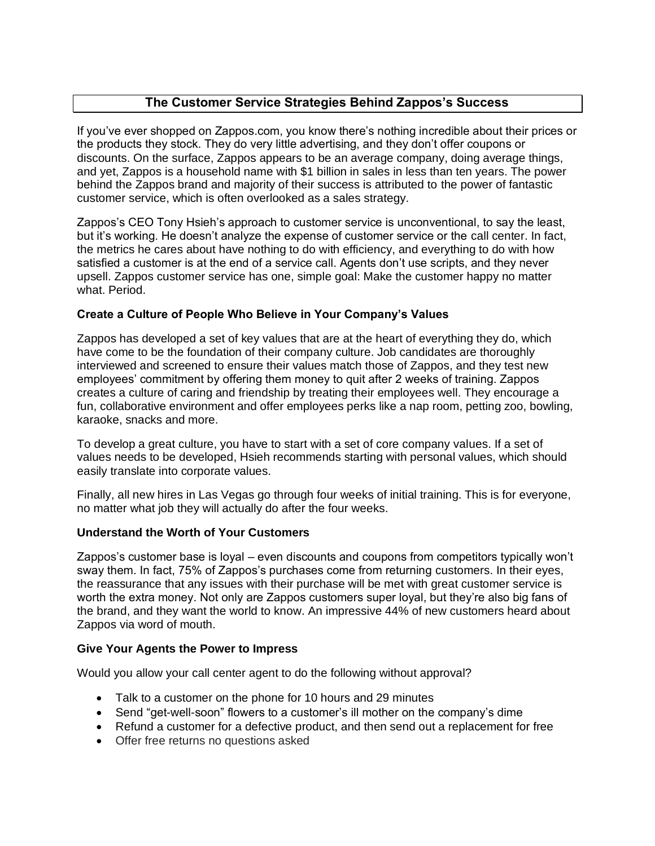# **The Customer Service Strategies Behind Zappos's Success**

If you've ever shopped on Zappos.com, you know there's nothing incredible about their prices or the products they stock. They do very little advertising, and they don't offer coupons or discounts. On the surface, Zappos appears to be an average company, doing average things, and yet, Zappos is a household name with \$1 billion in sales in less than ten years. The power behind the Zappos brand and majority of their success is attributed to the power of fantastic customer service, which is often overlooked as a sales strategy.

Zappos's CEO Tony Hsieh's approach to customer service is unconventional, to say the least, but it's working. He doesn't analyze the expense of customer service or the call center. In fact, the metrics he cares about have nothing to do with efficiency, and everything to do with how satisfied a customer is at the end of a service call. Agents don't use scripts, and they never upsell. Zappos customer service has one, simple goal: Make the customer happy no matter what. Period.

## **Create a Culture of People Who Believe in Your Company's Values**

Zappos has developed a set of key values that are at the heart of everything they do, which have come to be the foundation of their company culture. Job candidates are thoroughly interviewed and screened to ensure their values match those of Zappos, and they test new employees' commitment by offering them money to quit after 2 weeks of training. Zappos creates a culture of caring and friendship by treating their employees well. They encourage a fun, collaborative environment and offer employees perks like a nap room, petting zoo, bowling, karaoke, snacks and more.

To develop a great culture, you have to start with a set of core company values. If a set of values needs to be developed, Hsieh recommends starting with personal values, which should easily translate into corporate values.

Finally, all new hires in Las Vegas go through four weeks of initial training. This is for everyone, no matter what job they will actually do after the four weeks.

## **Understand the Worth of Your Customers**

Zappos's customer base is loyal – even discounts and coupons from competitors typically won't sway them. In fact, 75% of Zappos's purchases come from returning customers. In their eyes, the reassurance that any issues with their purchase will be met with great customer service is worth the extra money. Not only are Zappos customers super loyal, but they're also big fans of the brand, and they want the world to know. An impressive 44% of new customers heard about Zappos via word of mouth.

## **Give Your Agents the Power to Impress**

Would you allow your call center agent to do the following without approval?

- Talk to a customer on the phone for 10 hours and 29 minutes
- Send "get-well-soon" flowers to a customer's ill mother on the company's dime
- Refund a customer for a defective product, and then send out a replacement for free
- Offer free returns no questions asked